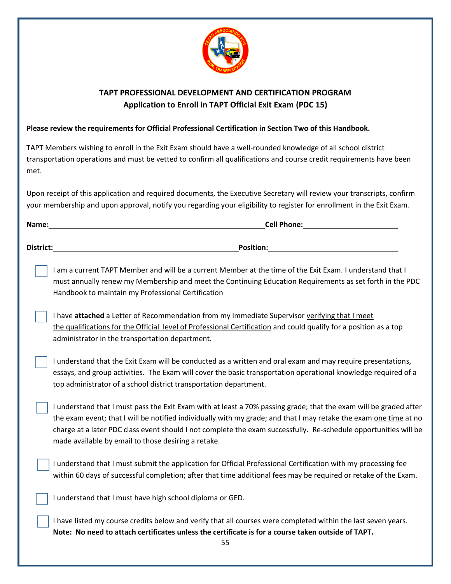

## **TAPT PROFESSIONAL DEVELOPMENT AND CERTIFICATION PROGRAM Application to Enroll in TAPT Official Exit Exam (PDC 15)**

## **Please review the requirements for Official Professional Certification in Section Two of this Handbook.**

TAPT Members wishing to enroll in the Exit Exam should have a well-rounded knowledge of all school district transportation operations and must be vetted to confirm all qualifications and course credit requirements have been met.

Upon receipt of this application and required documents, the Executive Secretary will review your transcripts, confirm your membership and upon approval, notify you regarding your eligibility to register for enrollment in the Exit Exam.

| Name:     | <b>Cell Phone:</b> |  |
|-----------|--------------------|--|
| District: | <b>Position:</b>   |  |

I am a current TAPT Member and will be a current Member at the time of the Exit Exam. I understand that I must annually renew my Membership and meet the Continuing Education Requirements as set forth in the PDC Handbook to maintain my Professional Certification

I have attached a Letter of Recommendation from my Immediate Supervisor verifying that I meet the qualifications for the Official level of Professional Certification and could qualify for a position as a top administrator in the transportation department.

I understand that the Exit Exam will be conducted as a written and oral exam and may require presentations, essays, and group activities. The Exam will cover the basic transportation operational knowledge required of a top administrator of a school district transportation department.

I understand that I must pass the Exit Exam with at least a 70% passing grade; that the exam will be graded after the exam event; that I will be notified individually with my grade; and that I may retake the exam one time at no charge at a later PDC class event should I not complete the exam successfully. Re-schedule opportunities will be made available by email to those desiring a retake.

I understand that I must submit the application for Official Professional Certification with my processing fee within 60 days of successful completion; after that time additional fees may be required or retake of the Exam.

I understand that I must have high school diploma or GED.

I have listed my course credits below and verify that all courses were completed within the last seven years. **Note: No need to attach certificates unless the certificate is for a course taken outside of TAPT.**